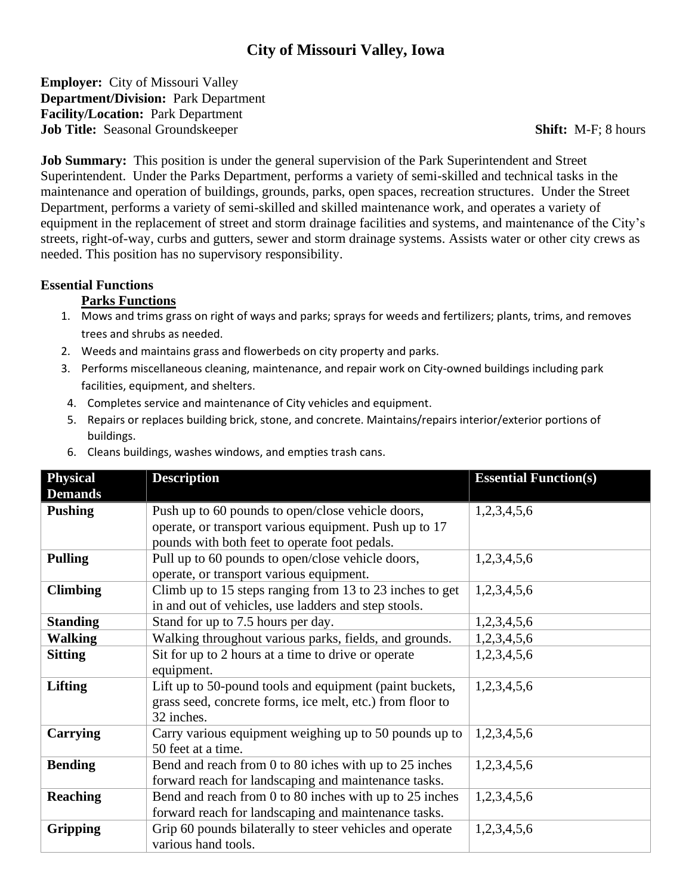# **City of Missouri Valley, Iowa**

**Employer:** City of Missouri Valley **Department/Division:** Park Department **Facility/Location:** Park Department **Job Title:** Seasonal Groundskeeper **Shift:** M-F; 8 hours

**Job Summary:** This position is under the general supervision of the Park Superintendent and Street Superintendent. Under the Parks Department, performs a variety of semi-skilled and technical tasks in the maintenance and operation of buildings, grounds, parks, open spaces, recreation structures. Under the Street Department, performs a variety of semi-skilled and skilled maintenance work, and operates a variety of equipment in the replacement of street and storm drainage facilities and systems, and maintenance of the City's streets, right-of-way, curbs and gutters, sewer and storm drainage systems. Assists water or other city crews as needed. This position has no supervisory responsibility.

#### **Essential Functions**

#### **Parks Functions**

- 1. Mows and trims grass on right of ways and parks; sprays for weeds and fertilizers; plants, trims, and removes trees and shrubs as needed.
- 2. Weeds and maintains grass and flowerbeds on city property and parks.
- 3. Performs miscellaneous cleaning, maintenance, and repair work on City-owned buildings including park facilities, equipment, and shelters.
- 4. Completes service and maintenance of City vehicles and equipment.
- 5. Repairs or replaces building brick, stone, and concrete. Maintains/repairs interior/exterior portions of buildings.
- 6. Cleans buildings, washes windows, and empties trash cans.

| <b>Physical</b><br><b>Demands</b> | <b>Description</b>                                                                                                                                           | <b>Essential Function(s)</b> |
|-----------------------------------|--------------------------------------------------------------------------------------------------------------------------------------------------------------|------------------------------|
| <b>Pushing</b>                    | Push up to 60 pounds to open/close vehicle doors,<br>operate, or transport various equipment. Push up to 17<br>pounds with both feet to operate foot pedals. | 1,2,3,4,5,6                  |
| <b>Pulling</b>                    | Pull up to 60 pounds to open/close vehicle doors,<br>operate, or transport various equipment.                                                                | 1,2,3,4,5,6                  |
| <b>Climbing</b>                   | Climb up to 15 steps ranging from 13 to 23 inches to get<br>in and out of vehicles, use ladders and step stools.                                             | 1,2,3,4,5,6                  |
| <b>Standing</b>                   | Stand for up to 7.5 hours per day.                                                                                                                           | 1,2,3,4,5,6                  |
| <b>Walking</b>                    | Walking throughout various parks, fields, and grounds.                                                                                                       | 1,2,3,4,5,6                  |
| <b>Sitting</b>                    | Sit for up to 2 hours at a time to drive or operate<br>equipment.                                                                                            | 1,2,3,4,5,6                  |
| <b>Lifting</b>                    | Lift up to 50-pound tools and equipment (paint buckets,<br>grass seed, concrete forms, ice melt, etc.) from floor to<br>32 inches.                           | 1,2,3,4,5,6                  |
| Carrying                          | Carry various equipment weighing up to 50 pounds up to<br>50 feet at a time.                                                                                 | 1,2,3,4,5,6                  |
| <b>Bending</b>                    | Bend and reach from 0 to 80 iches with up to 25 inches<br>forward reach for landscaping and maintenance tasks.                                               | 1,2,3,4,5,6                  |
| <b>Reaching</b>                   | Bend and reach from 0 to 80 inches with up to 25 inches<br>forward reach for landscaping and maintenance tasks.                                              | 1,2,3,4,5,6                  |
| <b>Gripping</b>                   | Grip 60 pounds bilaterally to steer vehicles and operate<br>various hand tools.                                                                              | 1,2,3,4,5,6                  |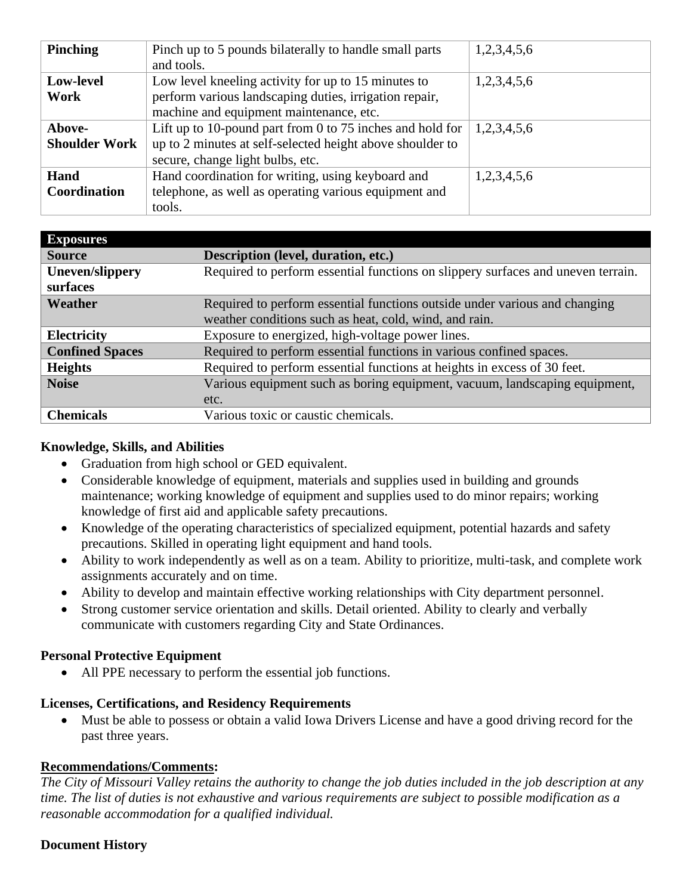| <b>Pinching</b>      | Pinch up to 5 pounds bilaterally to handle small parts    | 1,2,3,4,5,6 |
|----------------------|-----------------------------------------------------------|-------------|
|                      | and tools.                                                |             |
|                      |                                                           |             |
| Low-level            | Low level kneeling activity for up to 15 minutes to       | 1,2,3,4,5,6 |
| Work                 | perform various landscaping duties, irrigation repair,    |             |
|                      | machine and equipment maintenance, etc.                   |             |
| Above-               | Lift up to 10-pound part from 0 to 75 inches and hold for | 1,2,3,4,5,6 |
| <b>Shoulder Work</b> | up to 2 minutes at self-selected height above shoulder to |             |
|                      | secure, change light bulbs, etc.                          |             |
| Hand                 | Hand coordination for writing, using keyboard and         | 1,2,3,4,5,6 |
| Coordination         | telephone, as well as operating various equipment and     |             |
|                      | tools.                                                    |             |

| <b>Exposures</b>       |                                                                                  |
|------------------------|----------------------------------------------------------------------------------|
| <b>Source</b>          | Description (level, duration, etc.)                                              |
| <b>Uneven/slippery</b> | Required to perform essential functions on slippery surfaces and uneven terrain. |
| surfaces               |                                                                                  |
| Weather                | Required to perform essential functions outside under various and changing       |
|                        | weather conditions such as heat, cold, wind, and rain.                           |
| <b>Electricity</b>     | Exposure to energized, high-voltage power lines.                                 |
| <b>Confined Spaces</b> | Required to perform essential functions in various confined spaces.              |
| <b>Heights</b>         | Required to perform essential functions at heights in excess of 30 feet.         |
| <b>Noise</b>           | Various equipment such as boring equipment, vacuum, landscaping equipment,       |
|                        | etc.                                                                             |
| <b>Chemicals</b>       | Various toxic or caustic chemicals.                                              |

### **Knowledge, Skills, and Abilities**

- Graduation from high school or GED equivalent.
- Considerable knowledge of equipment, materials and supplies used in building and grounds maintenance; working knowledge of equipment and supplies used to do minor repairs; working knowledge of first aid and applicable safety precautions.
- Knowledge of the operating characteristics of specialized equipment, potential hazards and safety precautions. Skilled in operating light equipment and hand tools.
- Ability to work independently as well as on a team. Ability to prioritize, multi-task, and complete work assignments accurately and on time.
- Ability to develop and maintain effective working relationships with City department personnel.
- Strong customer service orientation and skills. Detail oriented. Ability to clearly and verbally communicate with customers regarding City and State Ordinances.

## **Personal Protective Equipment**

• All PPE necessary to perform the essential job functions.

### **Licenses, Certifications, and Residency Requirements**

• Must be able to possess or obtain a valid Iowa Drivers License and have a good driving record for the past three years.

### **Recommendations/Comments:**

*The City of Missouri Valley retains the authority to change the job duties included in the job description at any time. The list of duties is not exhaustive and various requirements are subject to possible modification as a reasonable accommodation for a qualified individual.*

## **Document History**